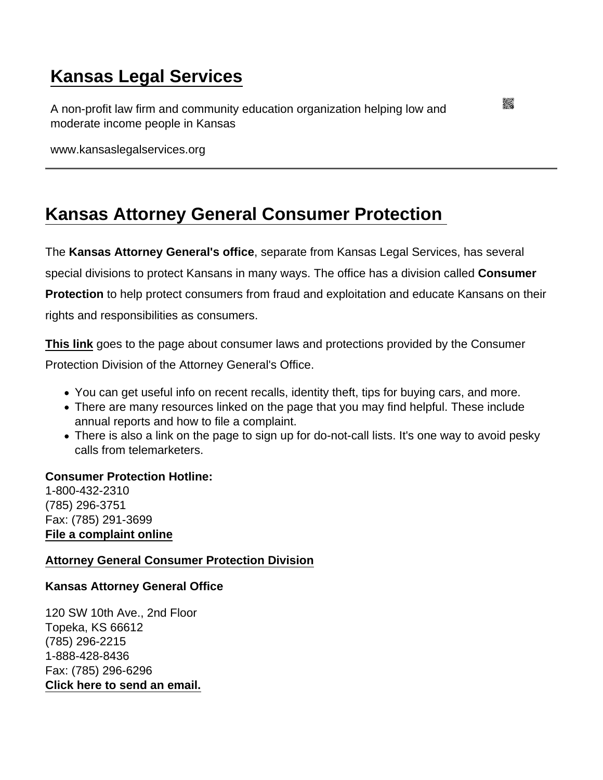## [Kansas Legal Services](https://www.kansaslegalservices.org/)

A non-profit law firm and community education organization helping low and moderate income people in Kansas

www.kansaslegalservices.org

## [Kansas Attorney General Consumer Protection](https://www.kansaslegalservices.org/node/84/kansas-attorney-general-consumer-protection)

The Kansas Attorney General's office , separate from Kansas Legal Services, has several special divisions to protect Kansans in many ways. The office has a division called Consumer Protection to help protect consumers from fraud and exploitation and educate Kansans on their rights and responsibilities as consumers.

[This link](http://ag.ks.gov/in-your-corner-kansas/) goes to the page about consumer laws and protections provided by the Consumer Protection Division of the Attorney General's Office.

- You can get useful info on recent recalls, identity theft, tips for buying cars, and more.
- There are many resources linked on the page that you may find helpful. These include annual reports and how to file a complaint.
- There is also a link on the page to sign up for do-not-call lists. It's one way to avoid pesky calls from telemarketers.

Consumer Protection Hotline: 1-800-432-2310 (785) 296-3751 Fax: (785) 291-3699 [File a complaint online](https://ag.ks.gov/file-a-complaint)

[Attorney General Consumer Protection Division](http://ag.ks.gov/in-your-corner-kansas/)

Kansas Attorney General Office

120 SW 10th Ave., 2nd Floor Topeka, KS 66612 (785) 296-2215 1-888-428-8436 Fax: (785) 296-6296 [Click here to send an email.](https://ag.ks.gov/about-the-office/contact-us/email-us)